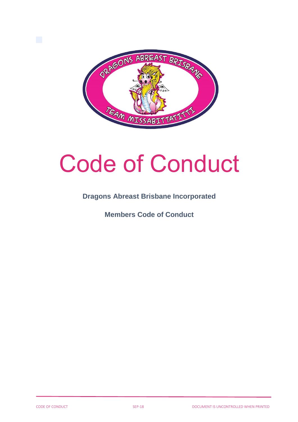

# Code of Conduct

### **Dragons Abreast Brisbane Incorporated**

**Members Code of Conduct**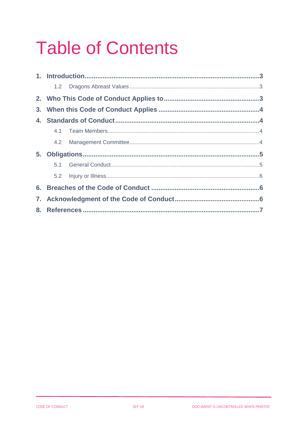## **Table of Contents**

|    | 1.2 |  |  |
|----|-----|--|--|
|    |     |  |  |
|    |     |  |  |
|    |     |  |  |
|    |     |  |  |
|    | 4.2 |  |  |
| 5. |     |  |  |
|    |     |  |  |
|    |     |  |  |
|    |     |  |  |
| 7. |     |  |  |
| 8. |     |  |  |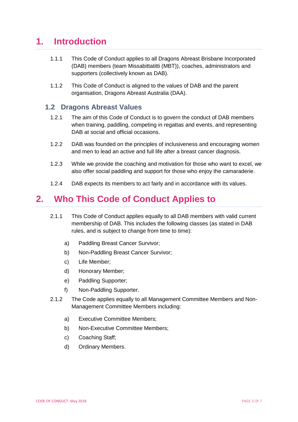## <span id="page-2-0"></span>**1. Introduction**

- 1.1.1 This Code of Conduct applies to all Dragons Abreast Brisbane Incorporated (DAB) members (team Missabittatitti (MBT)), coaches, administrators and supporters (collectively known as DAB).
- 1.1.2 This Code of Conduct is aligned to the values of DAB and the parent organisation, Dragons Abreast Australia (DAA).

#### <span id="page-2-1"></span>**1.2 Dragons Abreast Values**

- 1.2.1 The aim of this Code of Conduct is to govern the conduct of DAB members when training, paddling, competing in regattas and events, and representing DAB at social and official occasions.
- 1.2.2 DAB was founded on the principles of inclusiveness and encouraging women and men to lead an active and full life after a breast cancer diagnosis.
- 1.2.3 While we provide the coaching and motivation for those who want to excel, we also offer social paddling and support for those who enjoy the camaraderie.
- 1.2.4 DAB expects its members to act fairly and in accordance with its values.

## <span id="page-2-2"></span>**2. Who This Code of Conduct Applies to**

- 2.1.1 This Code of Conduct applies equally to all DAB members with valid current membership of DAB. This includes the following classes (as stated in DAB rules, and is subject to change from time to time):
	- a) Paddling Breast Cancer Survivor;
	- b) Non-Paddling Breast Cancer Survivor;
	- c) Life Member;
	- d) Honorary Member;
	- e) Paddling Supporter;
	- f) Non-Paddling Supporter.
- 2.1.2 The Code applies equally to all Management Committee Members and Non-Management Committee Members including:
	- a) Executive Committee Members;
	- b) Non-Executive Committee Members;
	- c) Coaching Staff;
	- d) Ordinary Members.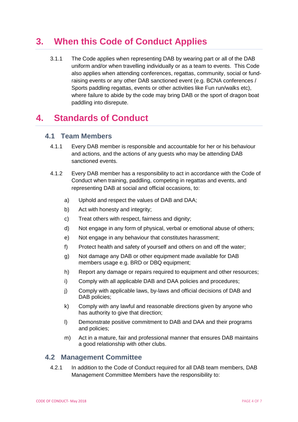## <span id="page-3-0"></span>**3. When this Code of Conduct Applies**

3.1.1 The Code applies when representing DAB by wearing part or all of the DAB uniform and/or when travelling individually or as a team to events. This Code also applies when attending conferences, regattas, community, social or fundraising events or any other DAB sanctioned event (e.g. BCNA conferences / Sports paddling regattas, events or other activities like Fun run/walks etc), where failure to abide by the code may bring DAB or the sport of dragon boat paddling into disrepute.

## <span id="page-3-1"></span>**4. Standards of Conduct**

#### <span id="page-3-2"></span>**4.1 Team Members**

- 4.1.1 Every DAB member is responsible and accountable for her or his behaviour and actions, and the actions of any guests who may be attending DAB sanctioned events.
- 4.1.2 Every DAB member has a responsibility to act in accordance with the Code of Conduct when training, paddling, competing in regattas and events, and representing DAB at social and official occasions, to:
	- a) Uphold and respect the values of DAB and DAA;
	- b) Act with honesty and integrity;
	- c) Treat others with respect, fairness and dignity;
	- d) Not engage in any form of physical, verbal or emotional abuse of others;
	- e) Not engage in any behaviour that constitutes harassment;
	- f) Protect health and safety of yourself and others on and off the water;
	- g) Not damage any DAB or other equipment made available for DAB members usage e.g. BRD or DBQ equipment;
	- h) Report any damage or repairs required to equipment and other resources;
	- i) Comply with all applicable DAB and DAA policies and procedures;
	- j) Comply with applicable laws, by-laws and official decisions of DAB and DAB policies;
	- k) Comply with any lawful and reasonable directions given by anyone who has authority to give that direction;
	- l) Demonstrate positive commitment to DAB and DAA and their programs and policies;
	- m) Act in a mature, fair and professional manner that ensures DAB maintains a good relationship with other clubs.

#### <span id="page-3-3"></span>**4.2 Management Committee**

4.2.1 In addition to the Code of Conduct required for all DAB team members, DAB Management Committee Members have the responsibility to: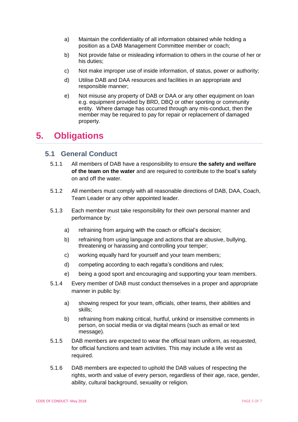- a) Maintain the confidentiality of all information obtained while holding a position as a DAB Management Committee member or coach;
- b) Not provide false or misleading information to others in the course of her or his duties;
- c) Not make improper use of inside information, of status, power or authority;
- d) Utilise DAB and DAA resources and facilities in an appropriate and responsible manner;
- e) Not misuse any property of DAB or DAA or any other equipment on loan e.g. equipment provided by BRD, DBQ or other sporting or community entity. Where damage has occurred through any mis-conduct, then the member may be required to pay for repair or replacement of damaged property.

## <span id="page-4-0"></span>**5. Obligations**

#### <span id="page-4-1"></span>**5.1 General Conduct**

- 5.1.1 All members of DAB have a responsibility to ensure **the safety and welfare of the team on the water** and are required to contribute to the boat's safety on and off the water.
- 5.1.2 All members must comply with all reasonable directions of DAB, DAA, Coach, Team Leader or any other appointed leader.
- 5.1.3 Each member must take responsibility for their own personal manner and performance by:
	- a) refraining from arguing with the coach or official's decision;
	- b) refraining from using language and actions that are abusive, bullying, threatening or harassing and controlling your temper;
	- c) working equally hard for yourself and your team members;
	- d) competing according to each regatta's conditions and rules;
	- e) being a good sport and encouraging and supporting your team members.
- 5.1.4 Every member of DAB must conduct themselves in a proper and appropriate manner in public by:
	- a) showing respect for your team, officials, other teams, their abilities and skills;
	- b) refraining from making critical, hurtful, unkind or insensitive comments in person, on social media or via digital means (such as email or text message).
- 5.1.5 DAB members are expected to wear the official team uniform, as requested, for official functions and team activities. This may include a life vest as required.
- 5.1.6 DAB members are expected to uphold the DAB values of respecting the rights, worth and value of every person, regardless of their age, race, gender, ability, cultural background, sexuality or religion.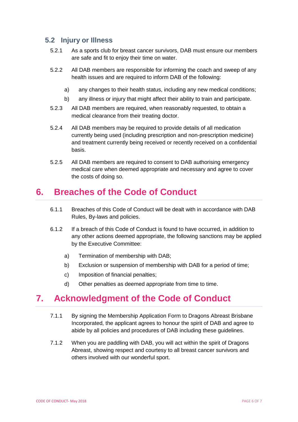#### <span id="page-5-0"></span>**5.2 Injury or Illness**

- 5.2.1 As a sports club for breast cancer survivors, DAB must ensure our members are safe and fit to enjoy their time on water.
- 5.2.2 All DAB members are responsible for informing the coach and sweep of any health issues and are required to inform DAB of the following:
	- a) any changes to their health status, including any new medical conditions;
	- b) any illness or injury that might affect their ability to train and participate.
- 5.2.3 All DAB members are required, when reasonably requested, to obtain a medical clearance from their treating doctor.
- 5.2.4 All DAB members may be required to provide details of all medication currently being used (including prescription and non-prescription medicine) and treatment currently being received or recently received on a confidential basis.
- 5.2.5 All DAB members are required to consent to DAB authorising emergency medical care when deemed appropriate and necessary and agree to cover the costs of doing so.

## <span id="page-5-1"></span>**6. Breaches of the Code of Conduct**

- 6.1.1 Breaches of this Code of Conduct will be dealt with in accordance with DAB Rules, By-laws and policies.
- 6.1.2 If a breach of this Code of Conduct is found to have occurred, in addition to any other actions deemed appropriate, the following sanctions may be applied by the Executive Committee:
	- a) Termination of membership with DAB;
	- b) Exclusion or suspension of membership with DAB for a period of time;
	- c) Imposition of financial penalties;
	- d) Other penalties as deemed appropriate from time to time.

## <span id="page-5-2"></span>**7. Acknowledgment of the Code of Conduct**

- 7.1.1 By signing the Membership Application Form to Dragons Abreast Brisbane Incorporated, the applicant agrees to honour the spirit of DAB and agree to abide by all policies and procedures of DAB including these guidelines.
- 7.1.2 When you are paddling with DAB, you will act within the spirit of Dragons Abreast, showing respect and courtesy to all breast cancer survivors and others involved with our wonderful sport.